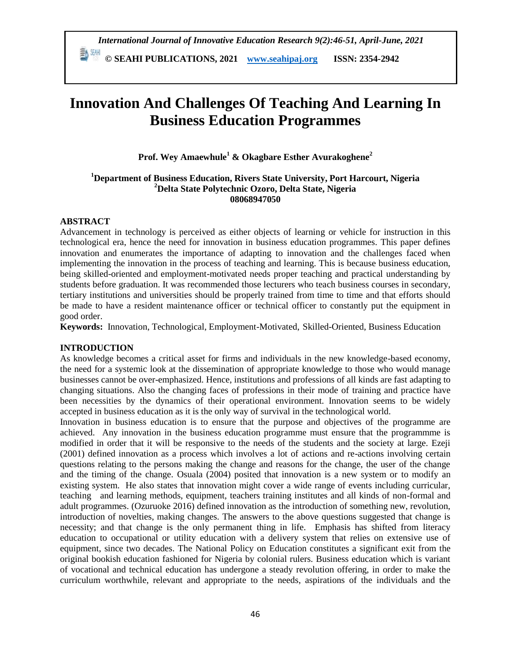**© SEAHI PUBLICATIONS, 2021 [www.seahipaj.org](http://www.seahipaj.org/) ISSN: 2354-2942**

# **Innovation And Challenges Of Teaching And Learning In Business Education Programmes**

**Prof. Wey Amaewhule<sup>1</sup> & Okagbare Esther Avurakoghene<sup>2</sup>**

#### **<sup>1</sup>Department of Business Education, Rivers State University, Port Harcourt, Nigeria <sup>2</sup>Delta State Polytechnic Ozoro, Delta State, Nigeria 08068947050**

# **ABSTRACT**

Advancement in technology is perceived as either objects of learning or vehicle for instruction in this technological era, hence the need for innovation in business education programmes. This paper defines innovation and enumerates the importance of adapting to innovation and the challenges faced when implementing the innovation in the process of teaching and learning. This is because business education, being skilled-oriented and employment-motivated needs proper teaching and practical understanding by students before graduation. It was recommended those lecturers who teach business courses in secondary, tertiary institutions and universities should be properly trained from time to time and that efforts should be made to have a resident maintenance officer or technical officer to constantly put the equipment in good order.

**Keywords:** Innovation, Technological, Employment-Motivated, Skilled-Oriented, Business Education

## **INTRODUCTION**

As knowledge becomes a critical asset for firms and individuals in the new knowledge-based economy, the need for a systemic look at the dissemination of appropriate knowledge to those who would manage businesses cannot be over-emphasized. Hence, institutions and professions of all kinds are fast adapting to changing situations. Also the changing faces of professions in their mode of training and practice have been necessities by the dynamics of their operational environment. Innovation seems to be widely accepted in business education as it is the only way of survival in the technological world.

Innovation in business education is to ensure that the purpose and objectives of the programme are achieved. Any innovation in the business education programme must ensure that the programmme is modified in order that it will be responsive to the needs of the students and the society at large. Ezeji (2001) defined innovation as a process which involves a lot of actions and re-actions involving certain questions relating to the persons making the change and reasons for the change, the user of the change and the timing of the change. Osuala (2004) posited that innovation is a new system or to modify an existing system. He also states that innovation might cover a wide range of events including curricular, teaching and learning methods, equipment, teachers training institutes and all kinds of non-formal and adult programmes. (Ozuruoke 2016) defined innovation as the introduction of something new, revolution, introduction of novelties, making changes. The answers to the above questions suggested that change is necessity; and that change is the only permanent thing in life. Emphasis has shifted from literacy education to occupational or utility education with a delivery system that relies on extensive use of equipment, since two decades. The National Policy on Education constitutes a significant exit from the original bookish education fashioned for Nigeria by colonial rulers. Business education which is variant of vocational and technical education has undergone a steady revolution offering, in order to make the curriculum worthwhile, relevant and appropriate to the needs, aspirations of the individuals and the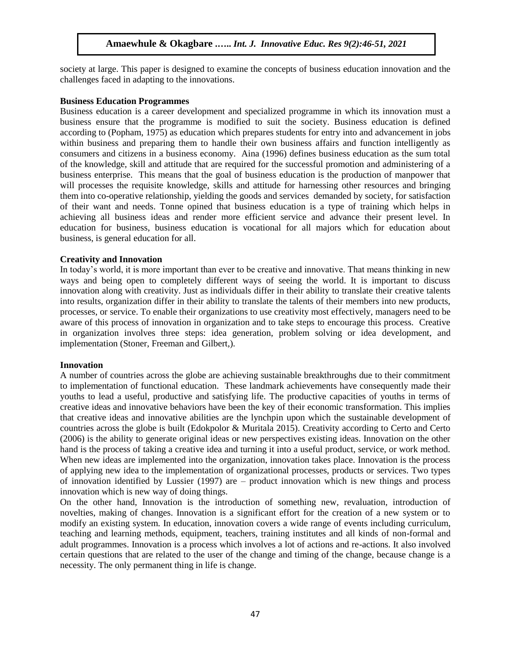society at large. This paper is designed to examine the concepts of business education innovation and the challenges faced in adapting to the innovations.

#### **Business Education Programmes**

Business education is a career development and specialized programme in which its innovation must a business ensure that the programme is modified to suit the society. Business education is defined according to (Popham, 1975) as education which prepares students for entry into and advancement in jobs within business and preparing them to handle their own business affairs and function intelligently as consumers and citizens in a business economy. Aina (1996) defines business education as the sum total of the knowledge, skill and attitude that are required for the successful promotion and administering of a business enterprise. This means that the goal of business education is the production of manpower that will processes the requisite knowledge, skills and attitude for harnessing other resources and bringing them into co-operative relationship, yielding the goods and services demanded by society, for satisfaction of their want and needs. Tonne opined that business education is a type of training which helps in achieving all business ideas and render more efficient service and advance their present level. In education for business, business education is vocational for all majors which for education about business, is general education for all.

#### **Creativity and Innovation**

In today's world, it is more important than ever to be creative and innovative. That means thinking in new ways and being open to completely different ways of seeing the world. It is important to discuss innovation along with creativity. Just as individuals differ in their ability to translate their creative talents into results, organization differ in their ability to translate the talents of their members into new products, processes, or service. To enable their organizations to use creativity most effectively, managers need to be aware of this process of innovation in organization and to take steps to encourage this process. Creative in organization involves three steps: idea generation, problem solving or idea development, and implementation (Stoner, Freeman and Gilbert,).

#### **Innovation**

A number of countries across the globe are achieving sustainable breakthroughs due to their commitment to implementation of functional education. These landmark achievements have consequently made their youths to lead a useful, productive and satisfying life. The productive capacities of youths in terms of creative ideas and innovative behaviors have been the key of their economic transformation. This implies that creative ideas and innovative abilities are the lynchpin upon which the sustainable development of countries across the globe is built (Edokpolor & Muritala 2015). Creativity according to Certo and Certo (2006) is the ability to generate original ideas or new perspectives existing ideas. Innovation on the other hand is the process of taking a creative idea and turning it into a useful product, service, or work method. When new ideas are implemented into the organization, innovation takes place. Innovation is the process of applying new idea to the implementation of organizational processes, products or services. Two types of innovation identified by Lussier (1997) are – product innovation which is new things and process innovation which is new way of doing things.

On the other hand, Innovation is the introduction of something new, revaluation, introduction of novelties, making of changes. Innovation is a significant effort for the creation of a new system or to modify an existing system. In education, innovation covers a wide range of events including curriculum, teaching and learning methods, equipment, teachers, training institutes and all kinds of non-formal and adult programmes. Innovation is a process which involves a lot of actions and re-actions. It also involved certain questions that are related to the user of the change and timing of the change, because change is a necessity. The only permanent thing in life is change.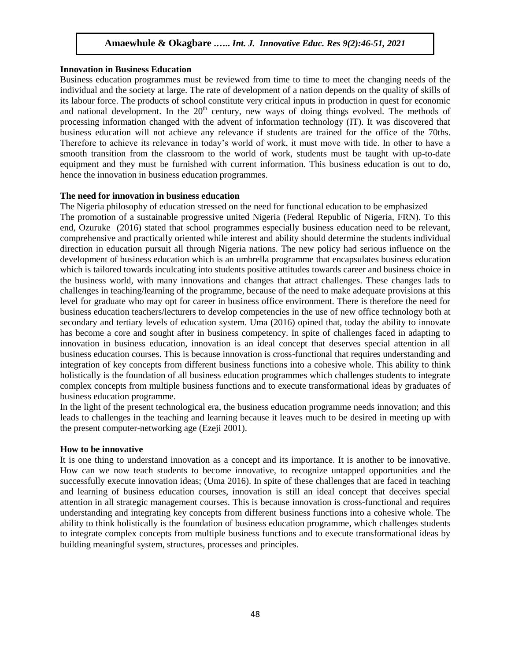#### **Innovation in Business Education**

Business education programmes must be reviewed from time to time to meet the changing needs of the individual and the society at large. The rate of development of a nation depends on the quality of skills of its labour force. The products of school constitute very critical inputs in production in quest for economic and national development. In the  $20<sup>th</sup>$  century, new ways of doing things evolved. The methods of processing information changed with the advent of information technology (IT). It was discovered that business education will not achieve any relevance if students are trained for the office of the 70ths. Therefore to achieve its relevance in today's world of work, it must move with tide. In other to have a smooth transition from the classroom to the world of work, students must be taught with up-to-date equipment and they must be furnished with current information. This business education is out to do, hence the innovation in business education programmes.

#### **The need for innovation in business education**

The Nigeria philosophy of education stressed on the need for functional education to be emphasized The promotion of a sustainable progressive united Nigeria (Federal Republic of Nigeria, FRN). To this end, Ozuruke (2016) stated that school programmes especially business education need to be relevant, comprehensive and practically oriented while interest and ability should determine the students individual direction in education pursuit all through Nigeria nations. The new policy had serious influence on the development of business education which is an umbrella programme that encapsulates business education which is tailored towards inculcating into students positive attitudes towards career and business choice in the business world, with many innovations and changes that attract challenges. These changes lads to challenges in teaching/learning of the programme, because of the need to make adequate provisions at this level for graduate who may opt for career in business office environment. There is therefore the need for business education teachers/lecturers to develop competencies in the use of new office technology both at secondary and tertiary levels of education system. Uma (2016) opined that, today the ability to innovate has become a core and sought after in business competency. In spite of challenges faced in adapting to innovation in business education, innovation is an ideal concept that deserves special attention in all business education courses. This is because innovation is cross-functional that requires understanding and integration of key concepts from different business functions into a cohesive whole. This ability to think holistically is the foundation of all business education programmes which challenges students to integrate complex concepts from multiple business functions and to execute transformational ideas by graduates of business education programme.

In the light of the present technological era, the business education programme needs innovation; and this leads to challenges in the teaching and learning because it leaves much to be desired in meeting up with the present computer-networking age (Ezeji 2001).

## **How to be innovative**

It is one thing to understand innovation as a concept and its importance. It is another to be innovative. How can we now teach students to become innovative, to recognize untapped opportunities and the successfully execute innovation ideas; (Uma 2016). In spite of these challenges that are faced in teaching and learning of business education courses, innovation is still an ideal concept that deceives special attention in all strategic management courses. This is because innovation is cross-functional and requires understanding and integrating key concepts from different business functions into a cohesive whole. The ability to think holistically is the foundation of business education programme, which challenges students to integrate complex concepts from multiple business functions and to execute transformational ideas by building meaningful system, structures, processes and principles.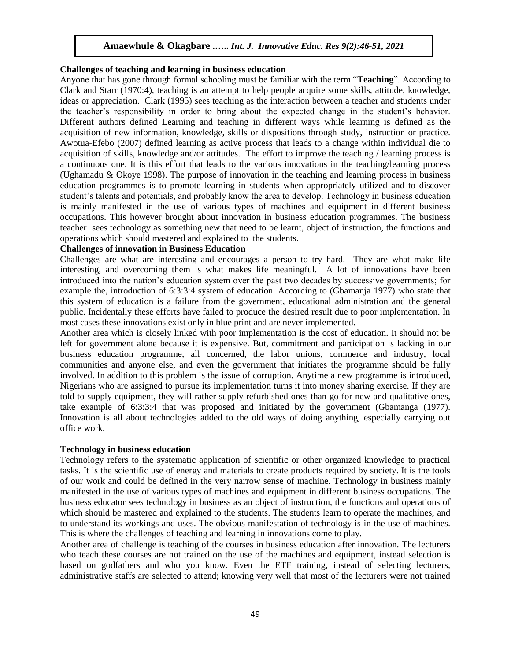#### **Challenges of teaching and learning in business education**

Anyone that has gone through formal schooling must be familiar with the term "**Teaching**". According to Clark and Starr (1970:4), teaching is an attempt to help people acquire some skills, attitude, knowledge, ideas or appreciation. Clark (1995) sees teaching as the interaction between a teacher and students under the teacher's responsibility in order to bring about the expected change in the student's behavior. Different authors defined Learning and teaching in different ways while learning is defined as the acquisition of new information, knowledge, skills or dispositions through study, instruction or practice. Awotua-Efebo (2007) defined learning as active process that leads to a change within individual die to acquisition of skills, knowledge and/or attitudes. The effort to improve the teaching / learning process is a continuous one. It is this effort that leads to the various innovations in the teaching/learning process (Ughamadu & Okoye 1998). The purpose of innovation in the teaching and learning process in business education programmes is to promote learning in students when appropriately utilized and to discover student's talents and potentials, and probably know the area to develop. Technology in business education is mainly manifested in the use of various types of machines and equipment in different business occupations. This however brought about innovation in business education programmes. The business teacher sees technology as something new that need to be learnt, object of instruction, the functions and operations which should mastered and explained to the students.

#### **Challenges of innovation in Business Education**

Challenges are what are interesting and encourages a person to try hard. They are what make life interesting, and overcoming them is what makes life meaningful. A lot of innovations have been introduced into the nation's education system over the past two decades by successive governments; for example the, introduction of 6:3:3:4 system of education. According to (Gbamanja 1977) who state that this system of education is a failure from the government, educational administration and the general public. Incidentally these efforts have failed to produce the desired result due to poor implementation. In most cases these innovations exist only in blue print and are never implemented.

Another area which is closely linked with poor implementation is the cost of education. It should not be left for government alone because it is expensive. But, commitment and participation is lacking in our business education programme, all concerned, the labor unions, commerce and industry, local communities and anyone else, and even the government that initiates the programme should be fully involved. In addition to this problem is the issue of corruption. Anytime a new programme is introduced, Nigerians who are assigned to pursue its implementation turns it into money sharing exercise. If they are told to supply equipment, they will rather supply refurbished ones than go for new and qualitative ones, take example of 6:3:3:4 that was proposed and initiated by the government (Gbamanga (1977). Innovation is all about technologies added to the old ways of doing anything, especially carrying out office work.

#### **Technology in business education**

Technology refers to the systematic application of scientific or other organized knowledge to practical tasks. It is the scientific use of energy and materials to create products required by society. It is the tools of our work and could be defined in the very narrow sense of machine. Technology in business mainly manifested in the use of various types of machines and equipment in different business occupations. The business educator sees technology in business as an object of instruction, the functions and operations of which should be mastered and explained to the students. The students learn to operate the machines, and to understand its workings and uses. The obvious manifestation of technology is in the use of machines. This is where the challenges of teaching and learning in innovations come to play.

Another area of challenge is teaching of the courses in business education after innovation. The lecturers who teach these courses are not trained on the use of the machines and equipment, instead selection is based on godfathers and who you know. Even the ETF training, instead of selecting lecturers, administrative staffs are selected to attend; knowing very well that most of the lecturers were not trained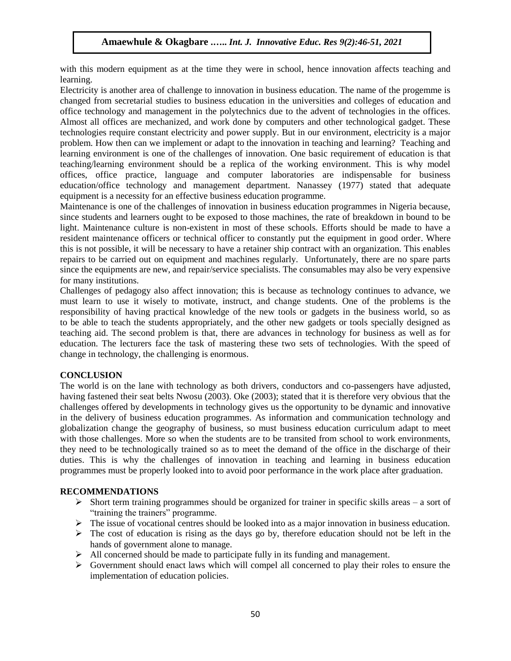with this modern equipment as at the time they were in school, hence innovation affects teaching and learning.

Electricity is another area of challenge to innovation in business education. The name of the progemme is changed from secretarial studies to business education in the universities and colleges of education and office technology and management in the polytechnics due to the advent of technologies in the offices. Almost all offices are mechanized, and work done by computers and other technological gadget. These technologies require constant electricity and power supply. But in our environment, electricity is a major problem. How then can we implement or adapt to the innovation in teaching and learning? Teaching and learning environment is one of the challenges of innovation. One basic requirement of education is that teaching/learning environment should be a replica of the working environment. This is why model offices, office practice, language and computer laboratories are indispensable for business education/office technology and management department. Nanassey (1977) stated that adequate equipment is a necessity for an effective business education programme.

Maintenance is one of the challenges of innovation in business education programmes in Nigeria because, since students and learners ought to be exposed to those machines, the rate of breakdown in bound to be light. Maintenance culture is non-existent in most of these schools. Efforts should be made to have a resident maintenance officers or technical officer to constantly put the equipment in good order. Where this is not possible, it will be necessary to have a retainer ship contract with an organization. This enables repairs to be carried out on equipment and machines regularly. Unfortunately, there are no spare parts since the equipments are new, and repair/service specialists. The consumables may also be very expensive for many institutions.

Challenges of pedagogy also affect innovation; this is because as technology continues to advance, we must learn to use it wisely to motivate, instruct, and change students. One of the problems is the responsibility of having practical knowledge of the new tools or gadgets in the business world, so as to be able to teach the students appropriately, and the other new gadgets or tools specially designed as teaching aid. The second problem is that, there are advances in technology for business as well as for education. The lecturers face the task of mastering these two sets of technologies. With the speed of change in technology, the challenging is enormous.

## **CONCLUSION**

The world is on the lane with technology as both drivers, conductors and co-passengers have adjusted, having fastened their seat belts Nwosu (2003). Oke (2003); stated that it is therefore very obvious that the challenges offered by developments in technology gives us the opportunity to be dynamic and innovative in the delivery of business education programmes. As information and communication technology and globalization change the geography of business, so must business education curriculum adapt to meet with those challenges. More so when the students are to be transited from school to work environments, they need to be technologically trained so as to meet the demand of the office in the discharge of their duties. This is why the challenges of innovation in teaching and learning in business education programmes must be properly looked into to avoid poor performance in the work place after graduation.

## **RECOMMENDATIONS**

- $\triangleright$  Short term training programmes should be organized for trainer in specific skills areas a sort of "training the trainers" programme.
- $\triangleright$  The issue of vocational centres should be looked into as a major innovation in business education.
- $\triangleright$  The cost of education is rising as the days go by, therefore education should not be left in the hands of government alone to manage.
- $\triangleright$  All concerned should be made to participate fully in its funding and management.
- $\triangleright$  Government should enact laws which will compel all concerned to play their roles to ensure the implementation of education policies.